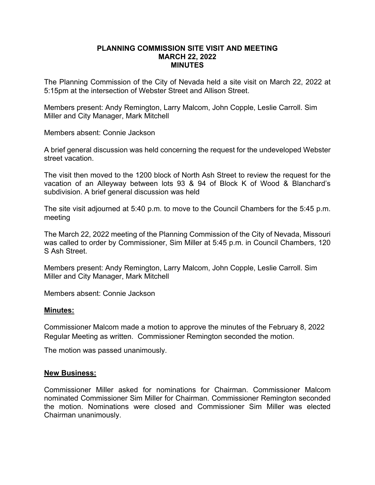## **PLANNING COMMISSION SITE VISIT AND MEETING MARCH 22, 2022 MINUTES**

The Planning Commission of the City of Nevada held a site visit on March 22, 2022 at 5:15pm at the intersection of Webster Street and Allison Street.

Members present: Andy Remington, Larry Malcom, John Copple, Leslie Carroll. Sim Miller and City Manager, Mark Mitchell

Members absent: Connie Jackson

A brief general discussion was held concerning the request for the undeveloped Webster street vacation.

The visit then moved to the 1200 block of North Ash Street to review the request for the vacation of an Alleyway between lots 93 & 94 of Block K of Wood & Blanchard's subdivision. A brief general discussion was held

The site visit adjourned at 5:40 p.m. to move to the Council Chambers for the 5:45 p.m. meeting

The March 22, 2022 meeting of the Planning Commission of the City of Nevada, Missouri was called to order by Commissioner, Sim Miller at 5:45 p.m. in Council Chambers, 120 S Ash Street.

Members present: Andy Remington, Larry Malcom, John Copple, Leslie Carroll. Sim Miller and City Manager, Mark Mitchell

Members absent: Connie Jackson

## **Minutes:**

Commissioner Malcom made a motion to approve the minutes of the February 8, 2022 Regular Meeting as written. Commissioner Remington seconded the motion.

The motion was passed unanimously.

## **New Business:**

Commissioner Miller asked for nominations for Chairman. Commissioner Malcom nominated Commissioner Sim Miller for Chairman. Commissioner Remington seconded the motion. Nominations were closed and Commissioner Sim Miller was elected Chairman unanimously.